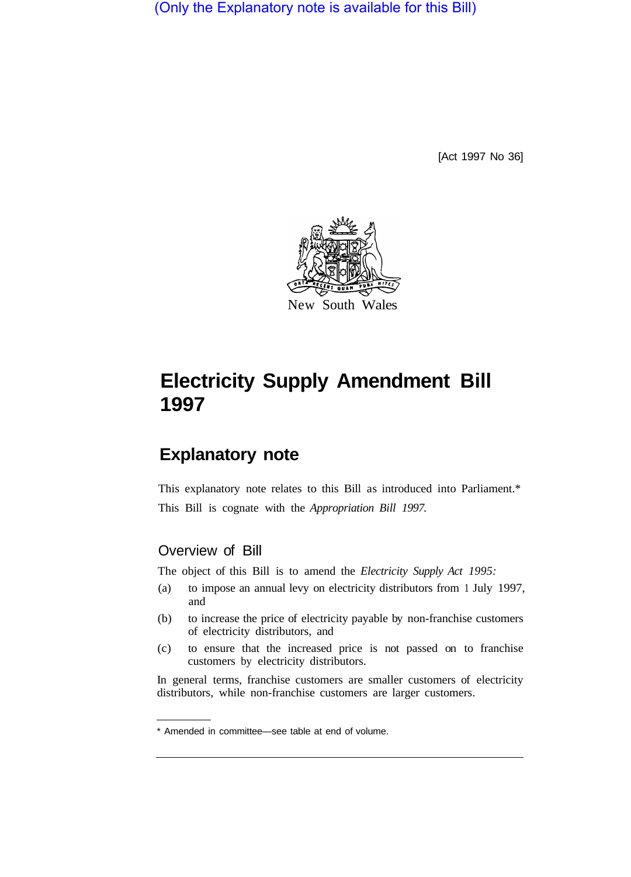(Only the Explanatory note is available for this Bill)

[Act 1997 No 36]



## **Electricity Supply Amendment Bill 1997**

## **Explanatory note**

This explanatory note relates to this Bill as introduced into Parliament.\* This Bill is cognate with the *Appropriation Bill 1997.* 

## Overview of Bill

The object of this Bill is to amend the *Electricity Supply Act 1995:* 

- (a) to impose an annual levy on electricity distributors from 1 July 1997, and
- (b) to increase the price of electricity payable by non-franchise customers of electricity distributors, and
- (c) to ensure that the increased price is not passed on to franchise customers by electricity distributors.

In general terms, franchise customers are smaller customers of electricity distributors, while non-franchise customers are larger customers.

<sup>\*</sup> Amended in committee—see table at end of volume.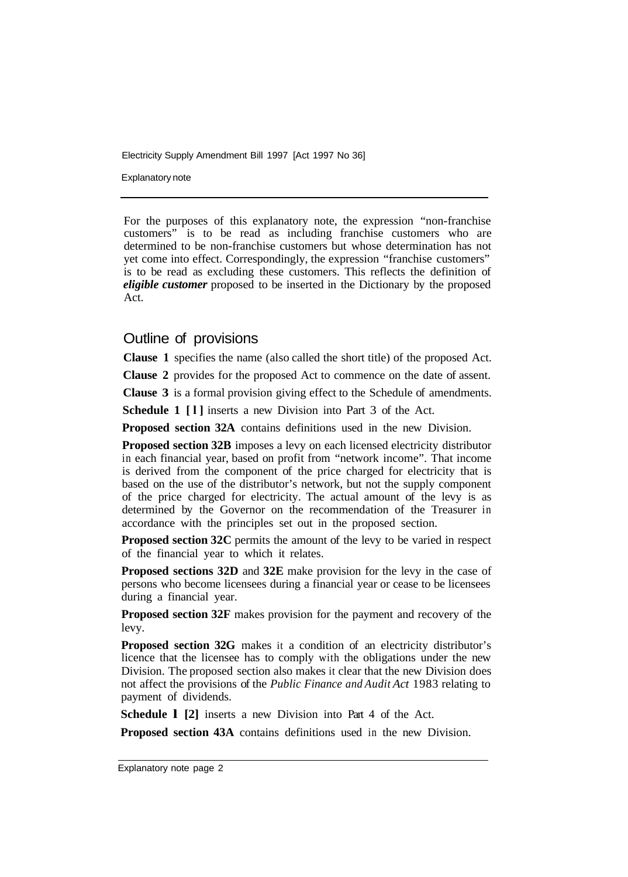Electricity Supply Amendment Bill 1997 [Act 1997 No 36]

Explanatory note

For the purposes of this explanatory note, the expression "non-franchise customers" is to be read as including franchise customers who are determined to be non-franchise customers but whose determination has not yet come into effect. Correspondingly, the expression "franchise customers" is to be read as excluding these customers. This reflects the definition of *eligible customer* proposed to be inserted in the Dictionary by the proposed Act.

## Outline of provisions

**Clause 1** specifies the name (also called the short title) of the proposed Act.

**Clause 2** provides for the proposed Act to commence on the date of assent.

**Clause 3** is a formal provision giving effect to the Schedule of amendments.

**Schedule 1 [l]** inserts a new Division into Part 3 of the Act.

**Proposed section 32A** contains definitions used in the new Division.

**Proposed section 32B** imposes a levy on each licensed electricity distributor in each financial year, based on profit from "network income". That income is derived from the component of the price charged for electricity that is based on the use of the distributor's network, but not the supply component of the price charged for electricity. The actual amount of the levy is as determined by the Governor on the recommendation of the Treasurer in accordance with the principles set out in the proposed section.

**Proposed section 32C** permits the amount of the levy to be varied in respect of the financial year to which it relates.

**Proposed sections 32D** and **32E** make provision for the levy in the case of persons who become licensees during a financial year or cease to be licensees during a financial year.

**Proposed section 32F** makes provision for the payment and recovery of the levy.

**Proposed section 32G** makes it a condition of an electricity distributor's licence that the licensee has to comply with the obligations under the new Division. The proposed section also makes it clear that the new Division does not affect the provisions of the *Public Finance and Audit Act* 1983 relating to payment of dividends.

**Schedule 1 [2]** inserts a new Division into Part 4 of the Act.

**Proposed section 43A** contains definitions used in the new Division.